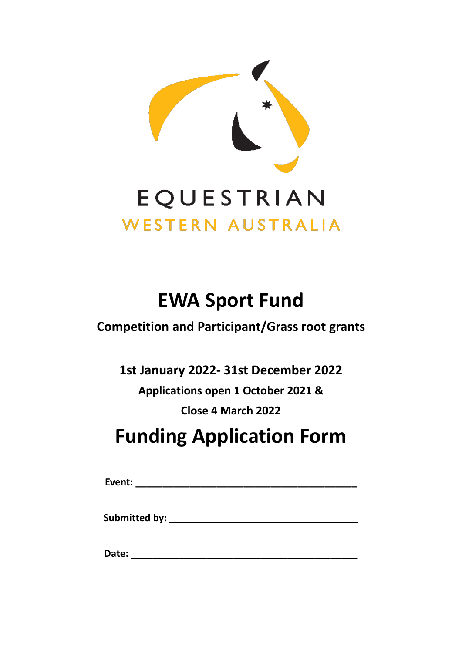

# **EWA Sport Fund**

# **Competition and Participant/Grass root grants**

**1st January 2022- 31st December 2022**

**Applications open 1 October 2021 &**

**Close 4 March 2022**

# **Funding Application Form**

**Event: \_\_\_\_\_\_\_\_\_\_\_\_\_\_\_\_\_\_\_\_\_\_\_\_\_\_\_\_\_\_\_\_\_\_\_\_\_\_\_\_\_**

**Submitted by: \_\_\_\_\_\_\_\_\_\_\_\_\_\_\_\_\_\_\_\_\_\_\_\_\_\_\_\_\_\_\_\_\_\_\_**

**Date: \_\_\_\_\_\_\_\_\_\_\_\_\_\_\_\_\_\_\_\_\_\_\_\_\_\_\_\_\_\_\_\_\_\_\_\_\_\_\_\_\_\_**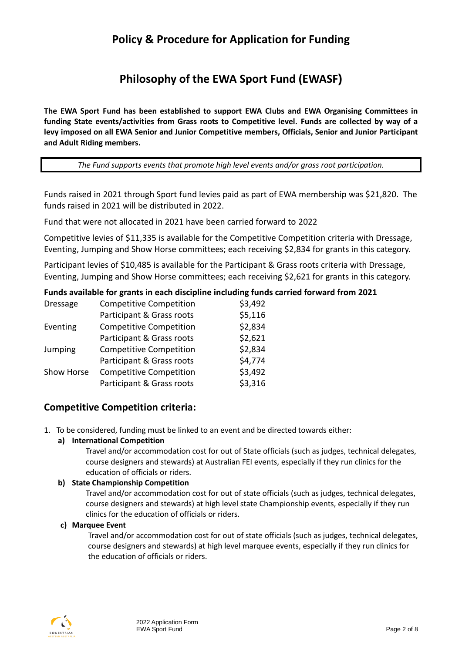# **Policy & Procedure for Application for Funding**

# **Philosophy of the EWA Sport Fund (EWASF)**

**The EWA Sport Fund has been established to support EWA Clubs and EWA Organising Committees in funding State events/activities from Grass roots to Competitive level. Funds are collected by way of a levy imposed on all EWA Senior and Junior Competitive members, Officials, Senior and Junior Participant and Adult Riding members.**

*The Fund supports events that promote high level events and/or grass root participation.*

Funds raised in 2021 through Sport fund levies paid as part of EWA membership was \$21,820. The funds raised in 2021 will be distributed in 2022.

Fund that were not allocated in 2021 have been carried forward to 2022

Competitive levies of \$11,335 is available for the Competitive Competition criteria with Dressage, Eventing, Jumping and Show Horse committees; each receiving \$2,834 for grants in this category.

Participant levies of \$10,485 is available for the Participant & Grass roots criteria with Dressage, Eventing, Jumping and Show Horse committees; each receiving \$2,621 for grants in this category.

#### **Funds available for grants in each discipline including funds carried forward from 2021**

| <b>Dressage</b> | <b>Competitive Competition</b> | \$3,492 |
|-----------------|--------------------------------|---------|
|                 | Participant & Grass roots      | \$5,116 |
| Eventing        | <b>Competitive Competition</b> | \$2,834 |
|                 | Participant & Grass roots      | \$2,621 |
| <b>Jumping</b>  | <b>Competitive Competition</b> | \$2,834 |
|                 | Participant & Grass roots      | \$4,774 |
| Show Horse      | <b>Competitive Competition</b> | \$3,492 |
|                 | Participant & Grass roots      | \$3,316 |

## **Competitive Competition criteria:**

1. To be considered, funding must be linked to an event and be directed towards either:

#### **a) International Competition**

Travel and/or accommodation cost for out of State officials (such as judges, technical delegates, course designers and stewards) at Australian FEI events, especially if they run clinics for the education of officials or riders.

#### **b) State Championship Competition**

Travel and/or accommodation cost for out of state officials (such as judges, technical delegates, course designers and stewards) at high level state Championship events, especially if they run clinics for the education of officials or riders.

#### **c) Marquee Event**

Travel and/or accommodation cost for out of state officials (such as judges, technical delegates, course designers and stewards) at high level marquee events, especially if they run clinics for the education of officials or riders.

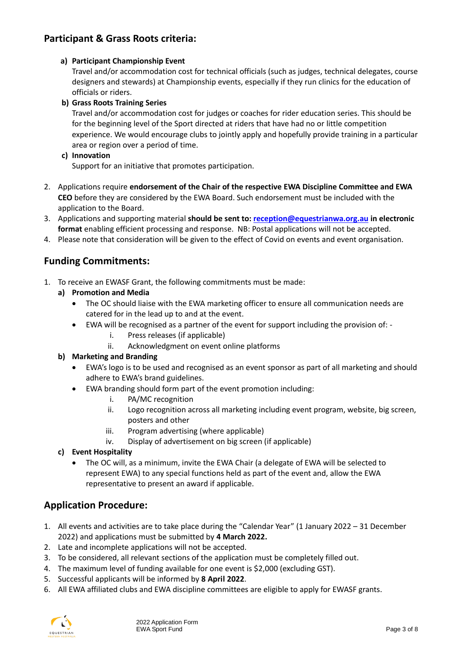# **Participant & Grass Roots criteria:**

#### **a) Participant Championship Event**

Travel and/or accommodation cost for technical officials (such as judges, technical delegates, course designers and stewards) at Championship events, especially if they run clinics for the education of officials or riders.

#### **b) Grass Roots Training Series**

Travel and/or accommodation cost for judges or coaches for rider education series. This should be for the beginning level of the Sport directed at riders that have had no or little competition experience. We would encourage clubs to jointly apply and hopefully provide training in a particular area or region over a period of time.

#### **c) Innovation**

Support for an initiative that promotes participation.

- 2. Applications require **endorsement of the Chair of the respective EWA Discipline Committee and EWA CEO** before they are considered by the EWA Board. Such endorsement must be included with the application to the Board.
- 3. Applications and supporting material **should be sent to[: reception@equestrianwa.org.au](mailto:reception@equestrianwa.org.au) in electronic format** enabling efficient processing and response. NB: Postal applications will not be accepted.
- 4. Please note that consideration will be given to the effect of Covid on events and event organisation.

## **Funding Commitments:**

- 1. To receive an EWASF Grant, the following commitments must be made:
	- **a) Promotion and Media** 
		- The OC should liaise with the EWA marketing officer to ensure all communication needs are catered for in the lead up to and at the event.
			- EWA will be recognised as a partner of the event for support including the provision of:
				- i. Press releases (if applicable)
				- ii. Acknowledgment on event online platforms

#### **b) Marketing and Branding**

- EWA's logo is to be used and recognised as an event sponsor as part of all marketing and should adhere to EWA's brand guidelines.
- EWA branding should form part of the event promotion including:
	- i. PA/MC recognition
	- ii. Logo recognition across all marketing including event program, website, big screen, posters and other
	- iii. Program advertising (where applicable)
	- iv. Display of advertisement on big screen (if applicable)
- **c) Event Hospitality**
	- The OC will, as a minimum, invite the EWA Chair (a delegate of EWA will be selected to represent EWA) to any special functions held as part of the event and, allow the EWA representative to present an award if applicable.

## **Application Procedure:**

- 1. All events and activities are to take place during the "Calendar Year" (1 January 2022 31 December 2022) and applications must be submitted by **4 March 2022.**
- 2. Late and incomplete applications will not be accepted.
- 3. To be considered, all relevant sections of the application must be completely filled out.
- 4. The maximum level of funding available for one event is \$2,000 (excluding GST).
- 5. Successful applicants will be informed by **8 April 2022**.
- 6. All EWA affiliated clubs and EWA discipline committees are eligible to apply for EWASF grants.

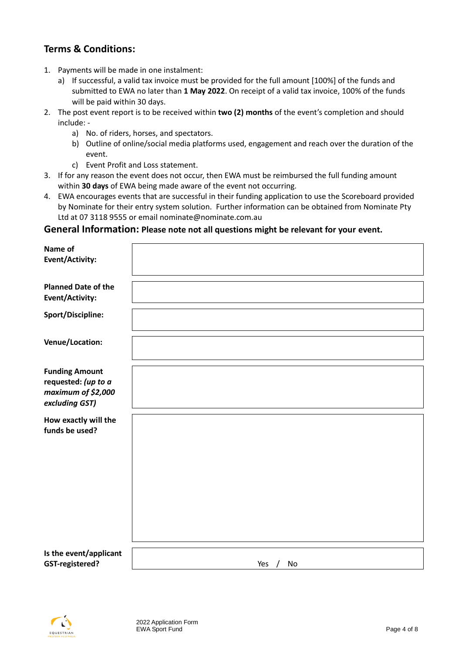# **Terms & Conditions:**

- 1. Payments will be made in one instalment:
	- a) If successful, a valid tax invoice must be provided for the full amount [100%] of the funds and submitted to EWA no later than **1 May 2022**. On receipt of a valid tax invoice, 100% of the funds will be paid within 30 days.
- 2. The post event report is to be received within **two (2) months** of the event's completion and should include:
	- a) No. of riders, horses, and spectators.
	- b) Outline of online/social media platforms used, engagement and reach over the duration of the event.
	- c) Event Profit and Loss statement.
- 3. If for any reason the event does not occur, then EWA must be reimbursed the full funding amount within **30 days** of EWA being made aware of the event not occurring.
- 4. EWA encourages events that are successful in their funding application to use the Scoreboard provided by Nominate for their entry system solution. Further information can be obtained from Nominate Pty Ltd at 07 3118 9555 or email [nominate@nominate.com.au](mailto:nominate@nominate.com.au)

#### **General Information: Please note not all questions might be relevant for your event.**

| Name of<br>Event/Activity:                                                           |                         |
|--------------------------------------------------------------------------------------|-------------------------|
| <b>Planned Date of the</b><br>Event/Activity:                                        |                         |
| <b>Sport/Discipline:</b>                                                             |                         |
| Venue/Location:                                                                      |                         |
| <b>Funding Amount</b><br>requested: (up to a<br>maximum of \$2,000<br>excluding GST) |                         |
| How exactly will the<br>funds be used?                                               |                         |
| Is the event/applicant<br><b>GST-registered?</b>                                     | Yes<br>No<br>$\sqrt{ }$ |

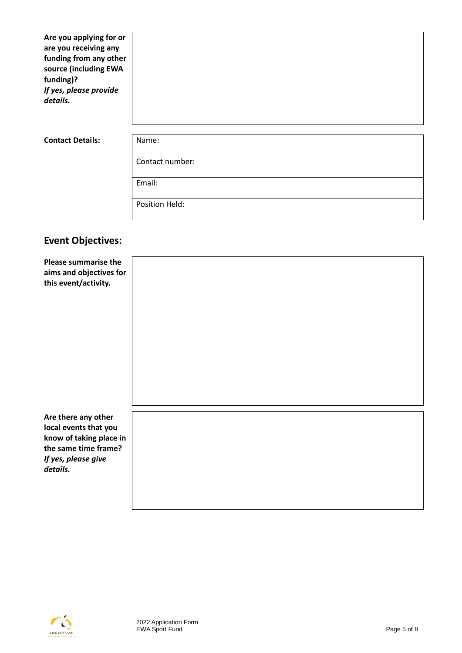**Are you applying for or are you receiving any funding from any other source (including EWA funding)?**  *If yes, please provide details.*

#### **Contact Details:** Name:

Contact number:

Email:

Position Held:

## **Event Objectives:**

**Please summarise the aims and objectives for this event/activity.**

**Are there any other local events that you know of taking place in the same time frame?** *If yes, please give details.*

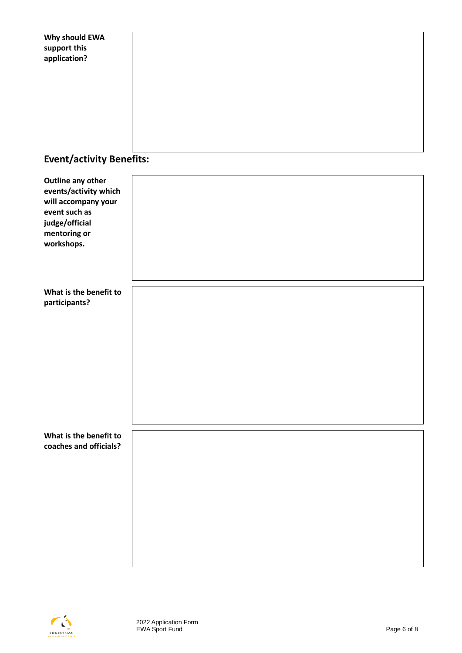| Why should EWA<br>support this                         |  |  |  |  |
|--------------------------------------------------------|--|--|--|--|
| application?                                           |  |  |  |  |
|                                                        |  |  |  |  |
|                                                        |  |  |  |  |
| <b>Event/activity Benefits:</b>                        |  |  |  |  |
| <b>Outline any other</b><br>events/activity which      |  |  |  |  |
| will accompany your<br>event such as<br>judge/official |  |  |  |  |
| mentoring or<br>workshops.                             |  |  |  |  |
|                                                        |  |  |  |  |
| What is the benefit to<br>participants?                |  |  |  |  |
|                                                        |  |  |  |  |
|                                                        |  |  |  |  |
|                                                        |  |  |  |  |
|                                                        |  |  |  |  |
| What is the benefit to<br>coaches and officials?       |  |  |  |  |
|                                                        |  |  |  |  |
|                                                        |  |  |  |  |
|                                                        |  |  |  |  |
|                                                        |  |  |  |  |

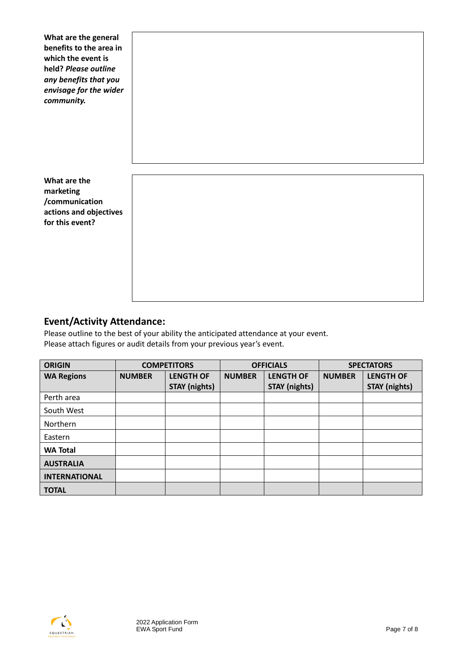**What are the general benefits to the area in which the event is held?** *Please outline any benefits that you envisage for the wider community.*

**What are the marketing /communication actions and objectives for this event?**

# **Event/Activity Attendance:**

Please outline to the best of your ability the anticipated attendance at your event. Please attach figures or audit details from your previous year's event.

| <b>ORIGIN</b>        | <b>COMPETITORS</b> |                      | <b>OFFICIALS</b> |                      | <b>SPECTATORS</b> |                      |
|----------------------|--------------------|----------------------|------------------|----------------------|-------------------|----------------------|
| <b>WA Regions</b>    | <b>NUMBER</b>      | <b>LENGTH OF</b>     | <b>NUMBER</b>    | <b>LENGTH OF</b>     | <b>NUMBER</b>     | <b>LENGTH OF</b>     |
|                      |                    | <b>STAY (nights)</b> |                  | <b>STAY (nights)</b> |                   | <b>STAY (nights)</b> |
| Perth area           |                    |                      |                  |                      |                   |                      |
| South West           |                    |                      |                  |                      |                   |                      |
| Northern             |                    |                      |                  |                      |                   |                      |
| Eastern              |                    |                      |                  |                      |                   |                      |
| <b>WA Total</b>      |                    |                      |                  |                      |                   |                      |
| <b>AUSTRALIA</b>     |                    |                      |                  |                      |                   |                      |
| <b>INTERNATIONAL</b> |                    |                      |                  |                      |                   |                      |
| <b>TOTAL</b>         |                    |                      |                  |                      |                   |                      |